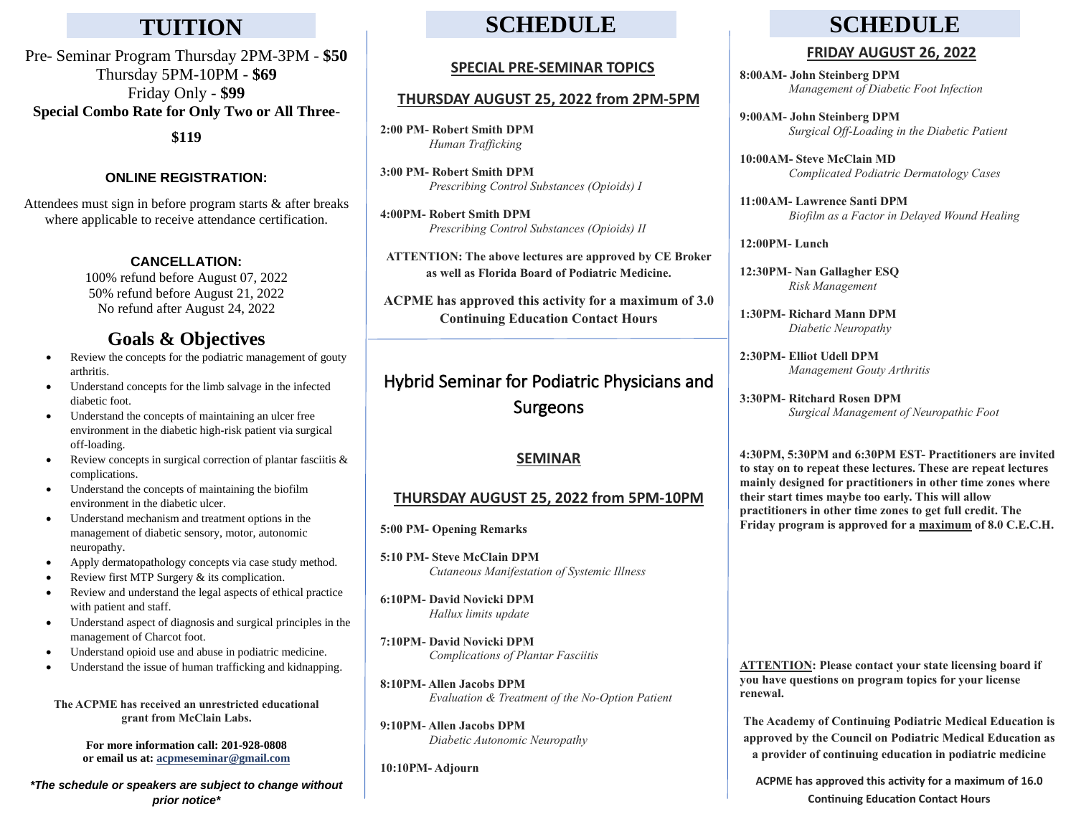**Special Combo Rate for Only Two or All Three**- Pre- Seminar Program Thursday 2PM-3PM - **\$50** Thursday 5PM-10PM - **\$69** Friday Only - **\$99**

**\$119**

## **ONLINE REGISTRATION:**

Attendees must sign in before program starts & after breaks where applicable to receive attendance certification.

## **CANCELLATION:**

100% refund before August 07, 2022 50% refund before August 21, 2022 No refund after August 24, 2022

## **Goals & Objectives**

- Review the concepts for the podiatric management of gouty arthritis.
- Understand concepts for the limb salvage in the infected diabetic foot.
- Understand the concepts of maintaining an ulcer free environment in the diabetic high-risk patient via surgical off-loading.
- Review concepts in surgical correction of plantar fasciitis & complications.
- Understand the concepts of maintaining the biofilm environment in the diabetic ulcer.
- Understand mechanism and treatment options in the management of diabetic sensory, motor, autonomic neuropathy.
- Apply dermatopathology concepts via case study method.
- Review first MTP Surgery & its complication.
- Review and understand the legal aspects of ethical practice with patient and staff.
- Understand aspect of diagnosis and surgical principles in the management of Charcot foot.
- Understand opioid use and abuse in podiatric medicine.
- Understand the issue of human trafficking and kidnapping.

**The ACPME has received an unrestricted educational grant from McClain Labs.**

> **For more information call: 201-928-0808 or email us at[: acpmeseminar@gmail.com](mailto:acpmeseminar@gmail.com)**

*\*The schedule or speakers are subject to change without prior notice\**

## **TUITION SCHEDULE**

#### **SPECIAL PRE-SEMINAR TOPICS**

## **THURSDAY AUGUST 25, 2022 from 2PM-5PM**

**2:00 PM- Robert Smith DPM** *Human Trafficking* 

**3:00 PM- Robert Smith DPM** *Prescribing Control Substances (Opioids) I*

**4:00PM- Robert Smith DPM** *Prescribing Control Substances (Opioids) II*

**ATTENTION: The above lectures are approved by CE Broker as well as Florida Board of Podiatric Medicine.** 

**ACPME has approved this activity for a maximum of 3.0 Continuing Education Contact Hours**

## Hybrid Seminar for Podiatric Physicians and Surgeons

## **SEMINAR**

## **THURSDAY AUGUST 25, 2022 from 5PM-10PM**

**5:00 PM- Opening Remarks** 

**5:10 PM- Steve McClain DPM** *Cutaneous Manifestation of Systemic Illness*

**6:10PM- David Novicki DPM** *Hallux limits update* 

**7:10PM- David Novicki DPM** *Complications of Plantar Fasciitis*

**8:10PM- Allen Jacobs DPM** *Evaluation & Treatment of the No-Option Patient* 

**9:10PM- Allen Jacobs DPM** *Diabetic Autonomic Neuropathy*

**10:10PM- Adjourn**

# **SCHEDULE**

## **FRIDAY AUGUST 26, 2022**

**8:00AM- John Steinberg DPM** *Management of Diabetic Foot Infection* 

**9:00AM- John Steinberg DPM** *Surgical Off-Loading in the Diabetic Patient* 

**10:00AM- Steve McClain MD** *Complicated Podiatric Dermatology Cases*

**11:00AM- Lawrence Santi DPM** *Biofilm as a Factor in Delayed Wound Healing* 

**12:00PM- Lunch**

**12:30PM- Nan Gallagher ESQ** *Risk Management* 

**1:30PM- Richard Mann DPM** *Diabetic Neuropathy* 

**2:30PM- Elliot Udell DPM** *Management Gouty Arthritis* 

**3:30PM- Ritchard Rosen DPM** *Surgical Management of Neuropathic Foot* 

**4:30PM, 5:30PM and 6:30PM EST- Practitioners are invited to stay on to repeat these lectures. These are repeat lectures mainly designed for practitioners in other time zones where their start times maybe too early. This will allow practitioners in other time zones to get full credit. The Friday program is approved for a maximum of 8.0 C.E.C.H.**

**ATTENTION: Please contact your state licensing board if you have questions on program topics for your license renewal.**

**The Academy of Continuing Podiatric Medical Education is approved by the Council on Podiatric Medical Education as a provider of continuing education in podiatric medicine**

**ACPME has approved this activity for a maximum of 16.0 Continuing Education Contact Hours**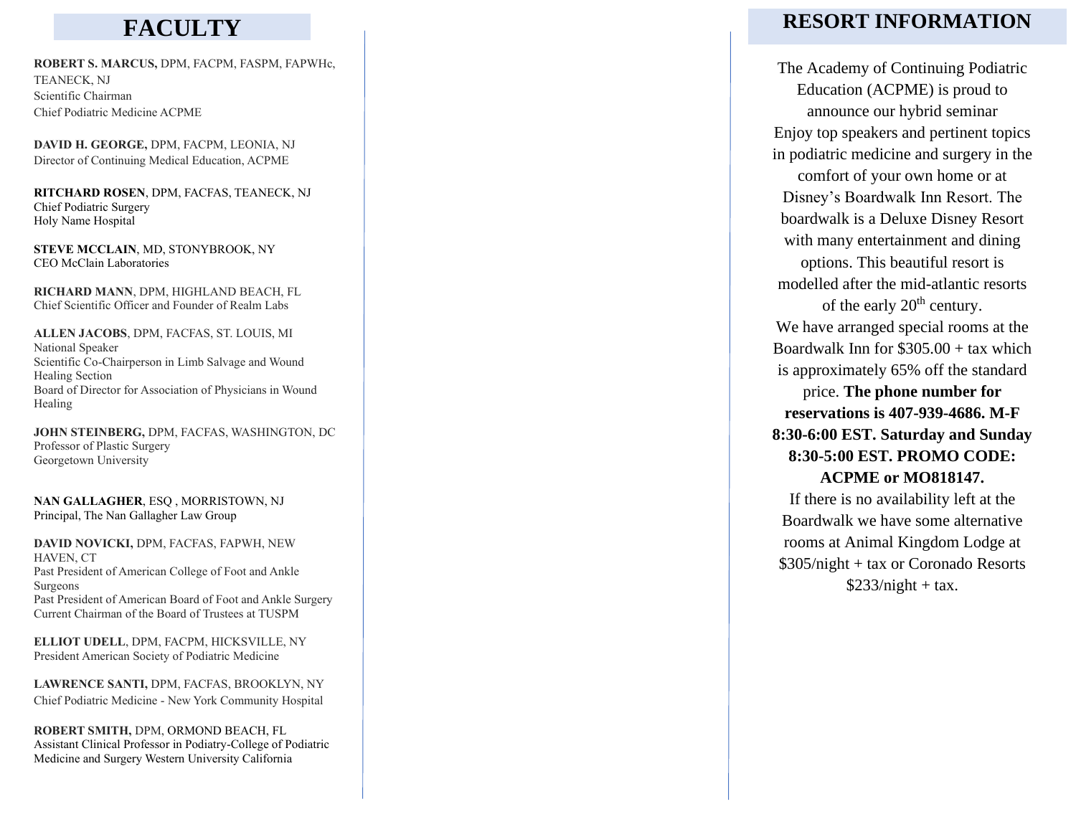# **FACULTY**

**ROBERT S. MARCUS,** DPM, FACPM, FASPM, FAPWHc, TEANECK, NJ Scientific Chairman Chief Podiatric Medicine ACPME

**DAVID H. GEORGE,** DPM, FACPM, LEONIA, NJ Director of Continuing Medical Education, ACPME

**RITCHARD ROSEN**, DPM, FACFAS, TEANECK, NJ Chief Podiatric Surgery Holy Name Hospital

**STEVE MCCLAIN**, MD, STONYBROOK, NY CEO McClain Laboratories

**RICHARD MANN**, DPM, HIGHLAND BEACH, FL Chief Scientific Officer and Founder of Realm Labs

**ALLEN JACOBS**, DPM, FACFAS, ST. LOUIS, MI National Speaker Scientific Co -Chairperson in Limb Salvage and Wound Healing Section Board of Director for Association of Physicians in Wound Healing

**JOHN STEINBERG,** DPM, FACFAS, WASHINGTON, DC Professor of Plastic Surgery Georgetown University

**NAN GALLAGHER**, ESQ , MORRISTOWN, NJ Principal, The Nan Gallagher Law Group

**DAVID NOVICKI,** DPM, FACFAS, FAPWH, NEW HAVEN, CT Past President of American College of Foot and Ankle Surgeons Past President of American Board of Foot and Ankle Surgery Current Chairman of the Board of Trustees at TUSPM

**ELLIOT UDELL**, DPM, FACPM, HICKSVILLE, NY President American Society of Podiatric Medicine

**LAWRENCE SANTI,** DPM, FACFAS, BROOKLYN, NY Chief Podiatric Medicine - New York Community Hospital

**ROBERT SMITH,** DPM, ORMOND BEACH, F L Assistant Clinical Professor in Podiatry -College of Podiatric Medicine and Surgery Western University Californi a

## **RESORT INFORMATION**

The Academy of Continuing Podiatric Education (ACPME) is proud to announce our hybrid seminar Enjoy top speakers and pertinent topics in podiatric medicine and surgery in the comfort of your own home or at Disney's Boardwalk Inn Resort. The boardwalk is a Deluxe Disney Resort with many entertainment and dining options. This beautiful resort is modelled after the mid -atlantic resorts of the early  $20<sup>th</sup>$  century. We have arranged special rooms at the Boardwalk Inn for \$305.00 + tax which is approximately 65% off the standard price. **The phone number for reservations is 407 -939 -4686. M -F 8:30 -6:00 EST. Saturday and Sunday 8:30 -5:00 EST. PROMO CODE: ACPME or MO818147.** If there is no availability left at the Boardwalk we have some alternative rooms at Animal K ingdom Lodge at

\$305/night + tax or Coronado Resorts  $$233/night + tax.$